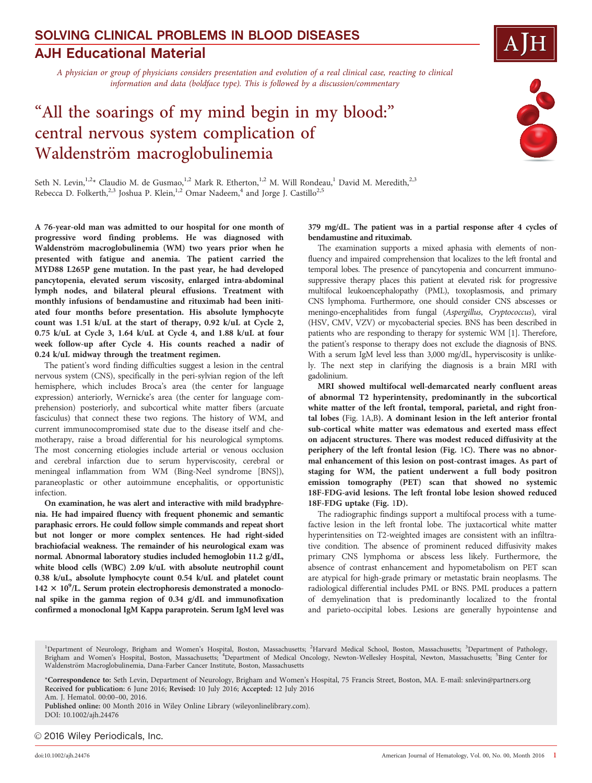# AJH Educational Material SOLVING CLINICAL PROBLEMS IN BLOOD DISEASES

A physician or group of physicians considers presentation and evolution of a real clinical case, reacting to clinical information and data (boldface type). This is followed by a discussion/commentary

# "All the soarings of my mind begin in my blood:" central nervous system complication of Waldenström macroglobulinemia

COC

Seth N. Levin,<sup>1,2</sup>\* Claudio M. de Gusmao,<sup>1,2</sup> Mark R. Etherton,<sup>1,2</sup> M. Will Rondeau,<sup>1</sup> David M. Meredith,<sup>2,3</sup> Rebecca D. Folkerth,<sup>2,3</sup> Joshua P. Klein,<sup>1,2</sup> Omar Nadeem,<sup>4</sup> and Jorge J. Castillo<sup>2,5</sup>

A 76-year-old man was admitted to our hospital for one month of progressive word finding problems. He was diagnosed with Waldenström macroglobulinemia (WM) two years prior when he presented with fatigue and anemia. The patient carried the MYD88 L265P gene mutation. In the past year, he had developed pancytopenia, elevated serum viscosity, enlarged intra-abdominal lymph nodes, and bilateral pleural effusions. Treatment with monthly infusions of bendamustine and rituximab had been initiated four months before presentation. His absolute lymphocyte count was 1.51 k/uL at the start of therapy, 0.92 k/uL at Cycle 2, 0.75 k/uL at Cycle 3, 1.64 k/uL at Cycle 4, and 1.88 k/uL at four week follow-up after Cycle 4. His counts reached a nadir of 0.24 k/uL midway through the treatment regimen.

The patient's word finding difficulties suggest a lesion in the central nervous system (CNS), specifically in the peri-sylvian region of the left hemisphere, which includes Broca's area (the center for language expression) anteriorly, Wernicke's area (the center for language comprehension) posteriorly, and subcortical white matter fibers (arcuate fasciculus) that connect these two regions. The history of WM, and current immunocompromised state due to the disease itself and chemotherapy, raise a broad differential for his neurological symptoms. The most concerning etiologies include arterial or venous occlusion and cerebral infarction due to serum hyperviscosity, cerebral or meningeal inflammation from WM (Bing-Neel syndrome [BNS]), paraneoplastic or other autoimmune encephalitis, or opportunistic infection.

On examination, he was alert and interactive with mild bradyphrenia. He had impaired fluency with frequent phonemic and semantic paraphasic errors. He could follow simple commands and repeat short but not longer or more complex sentences. He had right-sided brachiofacial weakness. The remainder of his neurological exam was normal. Abnormal laboratory studies included hemoglobin 11.2 g/dL, white blood cells (WBC) 2.09 k/uL with absolute neutrophil count 0.38 k/uL, absolute lymphocyte count 0.54 k/uL and platelet count  $142 \times 10^9$ /L. Serum protein electrophoresis demonstrated a monoclonal spike in the gamma region of 0.34 g/dL and immunofixation confirmed a monoclonal IgM Kappa paraprotein. Serum IgM level was

379 mg/dL. The patient was in a partial response after 4 cycles of bendamustine and rituximab.

The examination supports a mixed aphasia with elements of nonfluency and impaired comprehension that localizes to the left frontal and temporal lobes. The presence of pancytopenia and concurrent immunosuppressive therapy places this patient at elevated risk for progressive multifocal leukoencephalopathy (PML), toxoplasmosis, and primary CNS lymphoma. Furthermore, one should consider CNS abscesses or meningo-encephalitides from fungal (Aspergillus, Cryptococcus), viral (HSV, CMV, VZV) or mycobacterial species. BNS has been described in patients who are responding to therapy for systemic WM [1]. Therefore, the patient's response to therapy does not exclude the diagnosis of BNS. With a serum IgM level less than 3,000 mg/dL, hyperviscosity is unlikely. The next step in clarifying the diagnosis is a brain MRI with gadolinium.

MRI showed multifocal well-demarcated nearly confluent areas of abnormal T2 hyperintensity, predominantly in the subcortical white matter of the left frontal, temporal, parietal, and right frontal lobes (Fig. 1A,B). A dominant lesion in the left anterior frontal sub-cortical white matter was edematous and exerted mass effect on adjacent structures. There was modest reduced diffusivity at the periphery of the left frontal lesion (Fig. 1C). There was no abnormal enhancement of this lesion on post-contrast images. As part of staging for WM, the patient underwent a full body positron emission tomography (PET) scan that showed no systemic 18F-FDG-avid lesions. The left frontal lobe lesion showed reduced 18F-FDG uptake (Fig. 1D).

The radiographic findings support a multifocal process with a tumefactive lesion in the left frontal lobe. The juxtacortical white matter hyperintensities on T2-weighted images are consistent with an infiltrative condition. The absence of prominent reduced diffusivity makes primary CNS lymphoma or abscess less likely. Furthermore, the absence of contrast enhancement and hypometabolism on PET scan are atypical for high-grade primary or metastatic brain neoplasms. The radiological differential includes PML or BNS. PML produces a pattern of demyelination that is predominantly localized to the frontal and parieto-occipital lobes. Lesions are generally hypointense and

<sup>&</sup>lt;sup>1</sup>Department of Neurology, Brigham and Women's Hospital, Boston, Massachusetts; <sup>2</sup>Harvard Medical School, Boston, Massachusetts; <sup>3</sup>Department of Pathology,<br>Brigham and Women's Hospital, Boston, Massachusetts; <sup>4</sup>Departm Waldenström Macroglobulinemia, Dana-Farber Cancer Institute, Boston, Massachusetts

<sup>\*</sup>Correspondence to: Seth Levin, Department of Neurology, Brigham and Women's Hospital, 75 Francis Street, Boston, MA. E-mail: snlevin@partners.org Received for publication: 6 June 2016; Revised: 10 July 2016; Accepted: 12 July 2016

Am. J. Hematol. 00:00–00, 2016.

Published online: 00 Month 2016 in Wiley Online Library (wileyonlinelibrary.com). DOI: 10.1002/ajh.24476

<sup>© 2016</sup> Wiley Periodicals, Inc.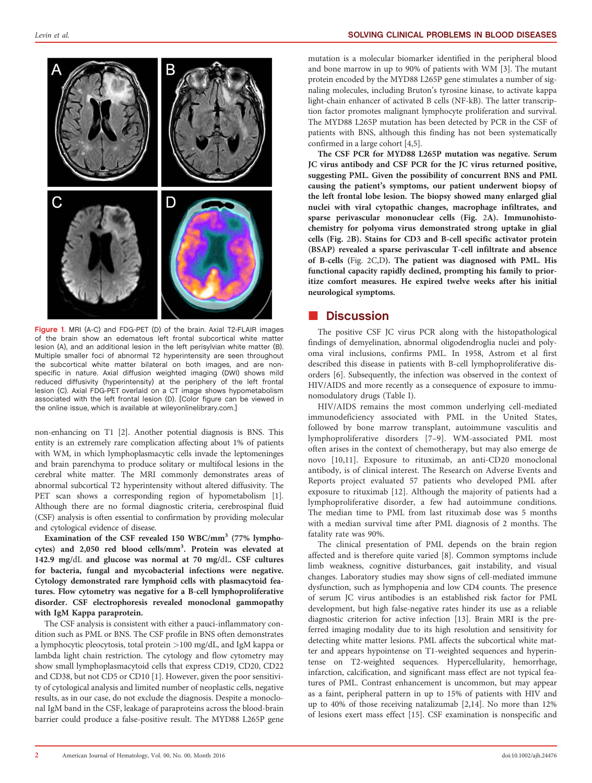

Figure 1. MRI (A-C) and FDG-PET (D) of the brain. Axial T2-FLAIR images of the brain show an edematous left frontal subcortical white matter lesion (A), and an additional lesion in the left perisylvian white matter (B). Multiple smaller foci of abnormal T2 hyperintensity are seen throughout the subcortical white matter bilateral on both images, and are nonspecific in nature. Axial diffusion weighted imaging (DWI) shows mild reduced diffusivity (hyperintensity) at the periphery of the left frontal lesion (C). Axial FDG-PET overlaid on a CT image shows hypometabolism associated with the left frontal lesion (D). [Color figure can be viewed in the online issue, which is available at [wileyonlinelibrary.com](http://wileyonlinelibrary.com).]

non-enhancing on T1 [2]. Another potential diagnosis is BNS. This entity is an extremely rare complication affecting about 1% of patients with WM, in which lymphoplasmacytic cells invade the leptomeninges and brain parenchyma to produce solitary or multifocal lesions in the cerebral white matter. The MRI commonly demonstrates areas of abnormal subcortical T2 hyperintensity without altered diffusivity. The PET scan shows a corresponding region of hypometabolism [1]. Although there are no formal diagnostic criteria, cerebrospinal fluid (CSF) analysis is often essential to confirmation by providing molecular and cytological evidence of disease.

Examination of the CSF revealed 150 WBC/mm<sup>3</sup> (77% lymphocytes) and 2,050 red blood cells/mm<sup>3</sup>. Protein was elevated at 142.9 mg/dL and glucose was normal at 70 mg/dL. CSF cultures for bacteria, fungal and mycobacterial infections were negative. Cytology demonstrated rare lymphoid cells with plasmacytoid features. Flow cytometry was negative for a B-cell lymphoproliferative disorder. CSF electrophoresis revealed monoclonal gammopathy with IgM Kappa paraprotein.

The CSF analysis is consistent with either a pauci-inflammatory condition such as PML or BNS. The CSF profile in BNS often demonstrates a lymphocytic pleocytosis, total protein >100 mg/dL, and IgM kappa or lambda light chain restriction. The cytology and flow cytometry may show small lymphoplasmacytoid cells that express CD19, CD20, CD22 and CD38, but not CD5 or CD10 [1]. However, given the poor sensitivity of cytological analysis and limited number of neoplastic cells, negative results, as in our case, do not exclude the diagnosis. Despite a monoclonal IgM band in the CSF, leakage of paraproteins across the blood-brain barrier could produce a false-positive result. The MYD88 L265P gene

### Levin et al. SOLVING CLINICAL PROBLEMS IN BLOOD DISEASES

mutation is a molecular biomarker identified in the peripheral blood and bone marrow in up to 90% of patients with WM [3]. The mutant protein encoded by the MYD88 L265P gene stimulates a number of signaling molecules, including Bruton's tyrosine kinase, to activate kappa light-chain enhancer of activated B cells (NF-kB). The latter transcription factor promotes malignant lymphocyte proliferation and survival. The MYD88 L265P mutation has been detected by PCR in the CSF of patients with BNS, although this finding has not been systematically confirmed in a large cohort [4,5].

The CSF PCR for MYD88 L265P mutation was negative. Serum JC virus antibody and CSF PCR for the JC virus returned positive, suggesting PML. Given the possibility of concurrent BNS and PML causing the patient's symptoms, our patient underwent biopsy of the left frontal lobe lesion. The biopsy showed many enlarged glial nuclei with viral cytopathic changes, macrophage infiltrates, and sparse perivascular mononuclear cells (Fig. 2A). Immunohistochemistry for polyoma virus demonstrated strong uptake in glial cells (Fig. 2B). Stains for CD3 and B-cell specific activator protein (BSAP) revealed a sparse perivascular T-cell infiltrate and absence of B-cells (Fig. 2C,D). The patient was diagnosed with PML. His functional capacity rapidly declined, prompting his family to prioritize comfort measures. He expired twelve weeks after his initial neurological symptoms.

### **Discussion**

The positive CSF JC virus PCR along with the histopathological findings of demyelination, abnormal oligodendroglia nuclei and polyoma viral inclusions, confirms PML. In 1958, Astrom et al first described this disease in patients with B-cell lymphoproliferative disorders [6]. Subsequently, the infection was observed in the context of HIV/AIDS and more recently as a consequence of exposure to immunomodulatory drugs (Table I).

HIV/AIDS remains the most common underlying cell-mediated immunodeficiency associated with PML in the United States, followed by bone marrow transplant, autoimmune vasculitis and lymphoproliferative disorders [7–9]. WM-associated PML most often arises in the context of chemotherapy, but may also emerge de novo [10,11]. Exposure to rituximab, an anti-CD20 monoclonal antibody, is of clinical interest. The Research on Adverse Events and Reports project evaluated 57 patients who developed PML after exposure to rituximab [12]. Although the majority of patients had a lymphoproliferative disorder, a few had autoimmune conditions. The median time to PML from last rituximab dose was 5 months with a median survival time after PML diagnosis of 2 months. The fatality rate was 90%.

The clinical presentation of PML depends on the brain region affected and is therefore quite varied [8]. Common symptoms include limb weakness, cognitive disturbances, gait instability, and visual changes. Laboratory studies may show signs of cell-mediated immune dysfunction, such as lymphopenia and low CD4 counts. The presence of serum JC virus antibodies is an established risk factor for PML development, but high false-negative rates hinder its use as a reliable diagnostic criterion for active infection [13]. Brain MRI is the preferred imaging modality due to its high resolution and sensitivity for detecting white matter lesions. PML affects the subcortical white matter and appears hypointense on T1-weighted sequences and hyperintense on T2-weighted sequences. Hypercellularity, hemorrhage, infarction, calcification, and significant mass effect are not typical features of PML. Contrast enhancement is uncommon, but may appear as a faint, peripheral pattern in up to 15% of patients with HIV and up to 40% of those receiving natalizumab [2,14]. No more than 12% of lesions exert mass effect [15]. CSF examination is nonspecific and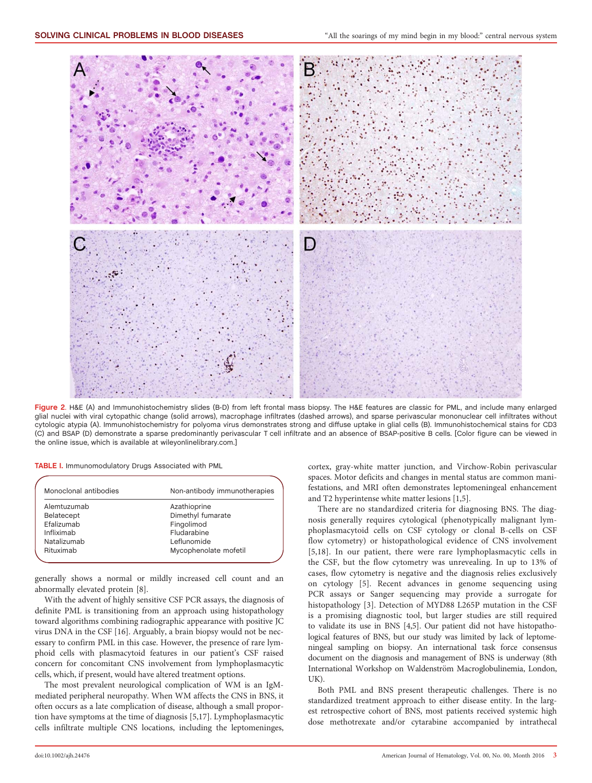

Figure 2. H&E (A) and Immunohistochemistry slides (B-D) from left frontal mass biopsy. The H&E features are classic for PML, and include many enlarged glial nuclei with viral cytopathic change (solid arrows), macrophage infiltrates (dashed arrows), and sparse perivascular mononuclear cell infiltrates without cytologic atypia (A). Immunohistochemistry for polyoma virus demonstrates strong and diffuse uptake in glial cells (B). Immunohistochemical stains for CD3 (C) and BSAP (D) demonstrate a sparse predominantly perivascular T cell infiltrate and an absence of BSAP-positive B cells. [Color figure can be viewed in the online issue, which is available at [wileyonlinelibrary.com](http://wileyonlinelibrary.com).]

| TABLE I. Immunomodulatory Drugs Associated with PML |  |  |  |  |
|-----------------------------------------------------|--|--|--|--|
|-----------------------------------------------------|--|--|--|--|

| Monoclonal antibodies | Non-antibody immunotherapies |  |  |
|-----------------------|------------------------------|--|--|
| Alemtuzumab           | Azathioprine                 |  |  |
| Belatecept            | Dimethyl fumarate            |  |  |
| Efalizumab            | Fingolimod                   |  |  |
| Infliximab            | Fludarabine                  |  |  |
| Natalizumab           | Leflunomide                  |  |  |
| Rituximab             | Mycophenolate mofetil        |  |  |
|                       |                              |  |  |

generally shows a normal or mildly increased cell count and an abnormally elevated protein [8].

With the advent of highly sensitive CSF PCR assays, the diagnosis of definite PML is transitioning from an approach using histopathology toward algorithms combining radiographic appearance with positive JC virus DNA in the CSF [16]. Arguably, a brain biopsy would not be necessary to confirm PML in this case. However, the presence of rare lymphoid cells with plasmacytoid features in our patient's CSF raised concern for concomitant CNS involvement from lymphoplasmacytic cells, which, if present, would have altered treatment options.

The most prevalent neurological complication of WM is an IgMmediated peripheral neuropathy. When WM affects the CNS in BNS, it often occurs as a late complication of disease, although a small proportion have symptoms at the time of diagnosis [5,17]. Lymphoplasmacytic cells infiltrate multiple CNS locations, including the leptomeninges,

cortex, gray-white matter junction, and Virchow-Robin perivascular spaces. Motor deficits and changes in mental status are common manifestations, and MRI often demonstrates leptomeningeal enhancement and T2 hyperintense white matter lesions [1,5].

There are no standardized criteria for diagnosing BNS. The diagnosis generally requires cytological (phenotypically malignant lymphoplasmacytoid cells on CSF cytology or clonal B-cells on CSF flow cytometry) or histopathological evidence of CNS involvement [5,18]. In our patient, there were rare lymphoplasmacytic cells in the CSF, but the flow cytometry was unrevealing. In up to 13% of cases, flow cytometry is negative and the diagnosis relies exclusively on cytology [5]. Recent advances in genome sequencing using PCR assays or Sanger sequencing may provide a surrogate for histopathology [3]. Detection of MYD88 L265P mutation in the CSF is a promising diagnostic tool, but larger studies are still required to validate its use in BNS [4,5]. Our patient did not have histopathological features of BNS, but our study was limited by lack of leptomeningeal sampling on biopsy. An international task force consensus document on the diagnosis and management of BNS is underway (8th International Workshop on Waldenström Macroglobulinemia, London, UK).

Both PML and BNS present therapeutic challenges. There is no standardized treatment approach to either disease entity. In the largest retrospective cohort of BNS, most patients received systemic high dose methotrexate and/or cytarabine accompanied by intrathecal